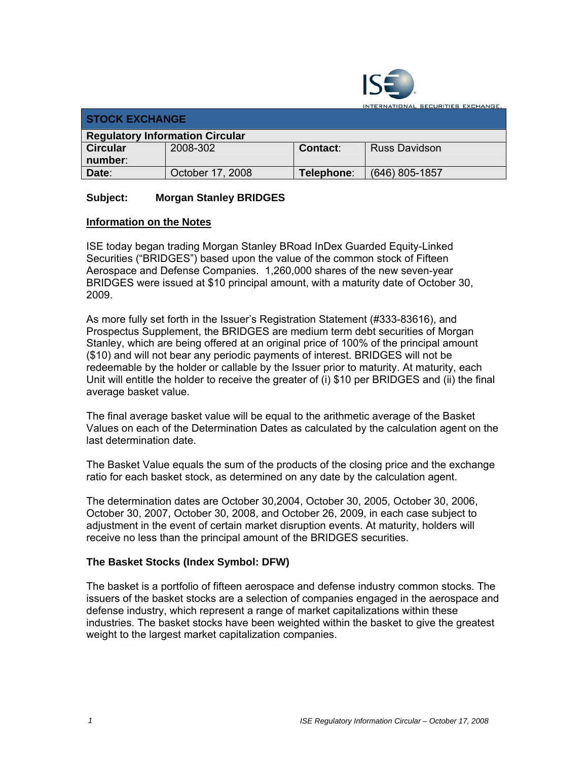

**ITERNATIONAL SECURITIES EXCHANGE.** 

| <b>STOCK EXCHANGE</b>                  |                  |            |                |  |  |  |  |
|----------------------------------------|------------------|------------|----------------|--|--|--|--|
| <b>Regulatory Information Circular</b> |                  |            |                |  |  |  |  |
| <b>Circular</b>                        | 2008-302         | Contact:   | Russ Davidson  |  |  |  |  |
| number:                                |                  |            |                |  |  |  |  |
| Date:                                  | October 17, 2008 | Telephone: | (646) 805-1857 |  |  |  |  |

## **Subject: Morgan Stanley BRIDGES**

## **Information on the Notes**

ISE today began trading Morgan Stanley BRoad InDex Guarded Equity-Linked Securities ("BRIDGES") based upon the value of the common stock of Fifteen Aerospace and Defense Companies. 1,260,000 shares of the new seven-year BRIDGES were issued at \$10 principal amount, with a maturity date of October 30, 2009.

As more fully set forth in the Issuer's Registration Statement (#333-83616), and Prospectus Supplement, the BRIDGES are medium term debt securities of Morgan Stanley, which are being offered at an original price of 100% of the principal amount (\$10) and will not bear any periodic payments of interest. BRIDGES will not be redeemable by the holder or callable by the Issuer prior to maturity. At maturity, each Unit will entitle the holder to receive the greater of (i) \$10 per BRIDGES and (ii) the final average basket value.

The final average basket value will be equal to the arithmetic average of the Basket Values on each of the Determination Dates as calculated by the calculation agent on the last determination date.

The Basket Value equals the sum of the products of the closing price and the exchange ratio for each basket stock, as determined on any date by the calculation agent.

The determination dates are October 30,2004, October 30, 2005, October 30, 2006, October 30, 2007, October 30, 2008, and October 26, 2009, in each case subject to adjustment in the event of certain market disruption events. At maturity, holders will receive no less than the principal amount of the BRIDGES securities.

## **The Basket Stocks (Index Symbol: DFW)**

The basket is a portfolio of fifteen aerospace and defense industry common stocks. The issuers of the basket stocks are a selection of companies engaged in the aerospace and defense industry, which represent a range of market capitalizations within these industries. The basket stocks have been weighted within the basket to give the greatest weight to the largest market capitalization companies.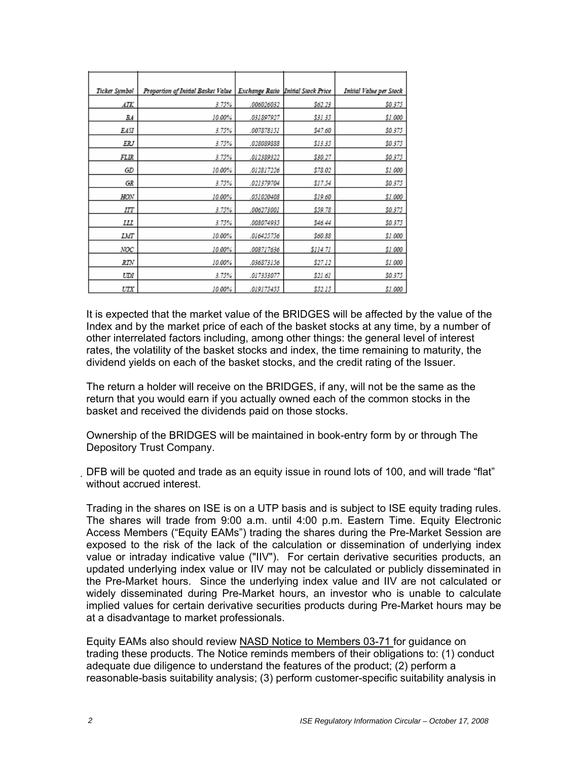| Ticker Symbol | Proportion of Initial Basket Value |            | Exchange Ratio Initial Stock Price | Initial Value per Stock |
|---------------|------------------------------------|------------|------------------------------------|-------------------------|
| ATK           | 3.75%                              | .006026032 | \$62.23                            | \$0.375                 |
| BA            | 10.00%                             | 031897927  | \$31.35                            | \$1.000                 |
| EASI          | 3.75%                              | .007878151 | \$47.60                            | \$0.375                 |
| ERJ           | 3.75%                              | .028089888 | \$13.35                            | \$0.375                 |
| FLIR          | 3.75%                              | .012389322 | \$30.27                            | \$0.375                 |
| GD            | 10.00%                             | 012817226  | \$78.02                            | \$1.000                 |
| GR            | 3.75%                              | .021379704 | \$17.54                            | \$0.375                 |
| HON           | 10.00%                             | .051020408 | \$19.60                            | \$1.000                 |
| IΠ            | 3.75%                              | .006273001 | \$59.78                            | \$0.375                 |
| Ш             | 3.75%                              | .008074935 | \$46.44                            | \$0.375                 |
| LMT           | 10.00%                             | .016425756 | \$60.88                            | \$1.000                 |
| NOC           | 10.00%                             | .008717636 | \$114.71                           | \$1.000                 |
| RTN           | 10.00%                             | .036873156 | \$27.12                            | \$1.000                 |
| UDI           | 3.75%                              | .017353077 | \$21.61                            | \$0.375                 |
| UTX           | 10.00%                             | .019175455 | \$52.15                            | \$1.000                 |

It is expected that the market value of the BRIDGES will be affected by the value of the Index and by the market price of each of the basket stocks at any time, by a number of other interrelated factors including, among other things: the general level of interest rates, the volatility of the basket stocks and index, the time remaining to maturity, the dividend yields on each of the basket stocks, and the credit rating of the Issuer.

The return a holder will receive on the BRIDGES, if any, will not be the same as the return that you would earn if you actually owned each of the common stocks in the basket and received the dividends paid on those stocks.

Ownership of the BRIDGES will be maintained in book-entry form by or through The Depository Trust Company.

DFB will be quoted and trade as an equity issue in round lots of 100, and will trade "flat" without accrued interest.

Trading in the shares on ISE is on a UTP basis and is subject to ISE equity trading rules. The shares will trade from 9:00 a.m. until 4:00 p.m. Eastern Time. Equity Electronic Access Members ("Equity EAMs") trading the shares during the Pre-Market Session are exposed to the risk of the lack of the calculation or dissemination of underlying index value or intraday indicative value ("IIV"). For certain derivative securities products, an updated underlying index value or IIV may not be calculated or publicly disseminated in the Pre-Market hours. Since the underlying index value and IIV are not calculated or widely disseminated during Pre-Market hours, an investor who is unable to calculate implied values for certain derivative securities products during Pre-Market hours may be at a disadvantage to market professionals.

Equity EAMs also should review NASD Notice to Members 03-71 for guidance on trading these products. The Notice reminds members of their obligations to: (1) conduct adequate due diligence to understand the features of the product; (2) perform a reasonable-basis suitability analysis; (3) perform customer-specific suitability analysis in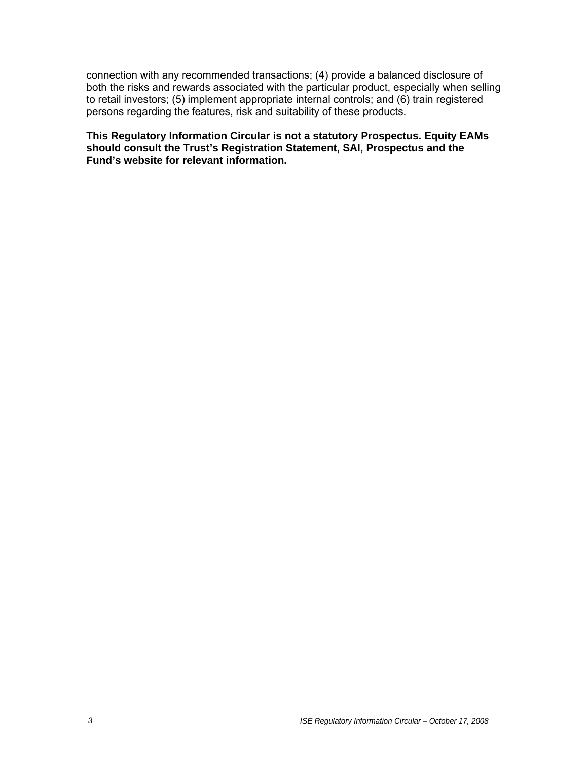connection with any recommended transactions; (4) provide a balanced disclosure of both the risks and rewards associated with the particular product, especially when selling to retail investors; (5) implement appropriate internal controls; and (6) train registered persons regarding the features, risk and suitability of these products.

**This Regulatory Information Circular is not a statutory Prospectus. Equity EAMs should consult the Trust's Registration Statement, SAI, Prospectus and the Fund's website for relevant information.**